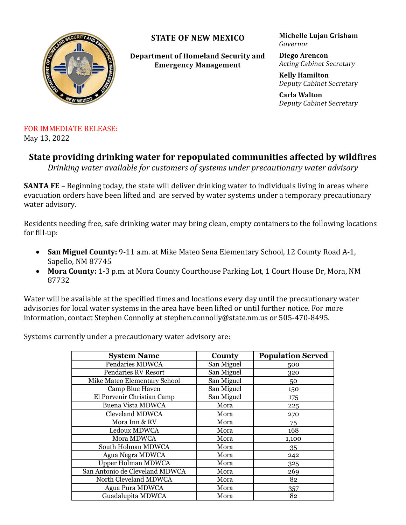

**STATE OF NEW MEXICO** 

Department of Homeland Security and **Emergency Management** 

Michelle Lujan Grisham Governor

Diego Arencon **Acting Cabinet Secretary** 

**Kelly Hamilton** Deputy Cabinet Secretary

**Carla Walton** Deputy Cabinet Secretary

## FOR IMMEDIATE RELEASE: May 13, 2022

## **State providing drinking water for repopulated communities affected by wildfires**

*Drinking water available for customers of systems under precautionary water advisory*

**SANTA FE –** Beginning today, the state will deliver drinking water to individuals living in areas where evacuation orders have been lifted and are served by water systems under a [temporary precautionary](https://www.nmdhsem.org/2022/05/12/state-provides-additional-information-on-precautionary-water-advisories-for-public-water-systems-impacted-by-wildfires/)  [water advisory.](https://www.nmdhsem.org/2022/05/12/state-provides-additional-information-on-precautionary-water-advisories-for-public-water-systems-impacted-by-wildfires/)

Residents needing free, safe drinking water may bring clean, empty containers to the following locations for fill-up:

- **San Miguel County:** 9-11 a.m. at Mike Mateo Sena Elementary School, 12 County Road A-1, Sapello, NM 87745
- **Mora County:** 1-3 p.m. at Mora County Courthouse Parking Lot, 1 Court House Dr, Mora, NM 87732

Water will be available at the specified times and locations every day until the precautionary water advisories for local water systems in the area have been lifted or until further notice. For more information, contact Stephen Connolly at stephen.connolly@state.nm.us or 505-470-8495.

Systems currently under a precautionary water advisory are:

| <b>System Name</b>             | County     | <b>Population Served</b> |
|--------------------------------|------------|--------------------------|
| <b>Pendaries MDWCA</b>         | San Miguel | 500                      |
| <b>Pendaries RV Resort</b>     | San Miguel | 320                      |
| Mike Mateo Elementary School   | San Miguel | 50                       |
| Camp Blue Haven                | San Miguel | 150                      |
| El Porvenir Christian Camp     | San Miguel | 175                      |
| <b>Buena Vista MDWCA</b>       | Mora       | 225                      |
| <b>Cleveland MDWCA</b>         | Mora       | 270                      |
| Mora Inn & RV                  | Mora       | 75                       |
| Ledoux MDWCA                   | Mora       | 168                      |
| Mora MDWCA                     | Mora       | 1,100                    |
| South Holman MDWCA             | Mora       | 35                       |
| Agua Negra MDWCA               | Mora       | 242                      |
| Upper Holman MDWCA             | Mora       | 325                      |
| San Antonio de Cleveland MDWCA | Mora       | 269                      |
| North Cleveland MDWCA          | Mora       | 82                       |
| Agua Pura MDWCA                | Mora       | 357                      |
| Guadalupita MDWCA              | Mora       | 82                       |